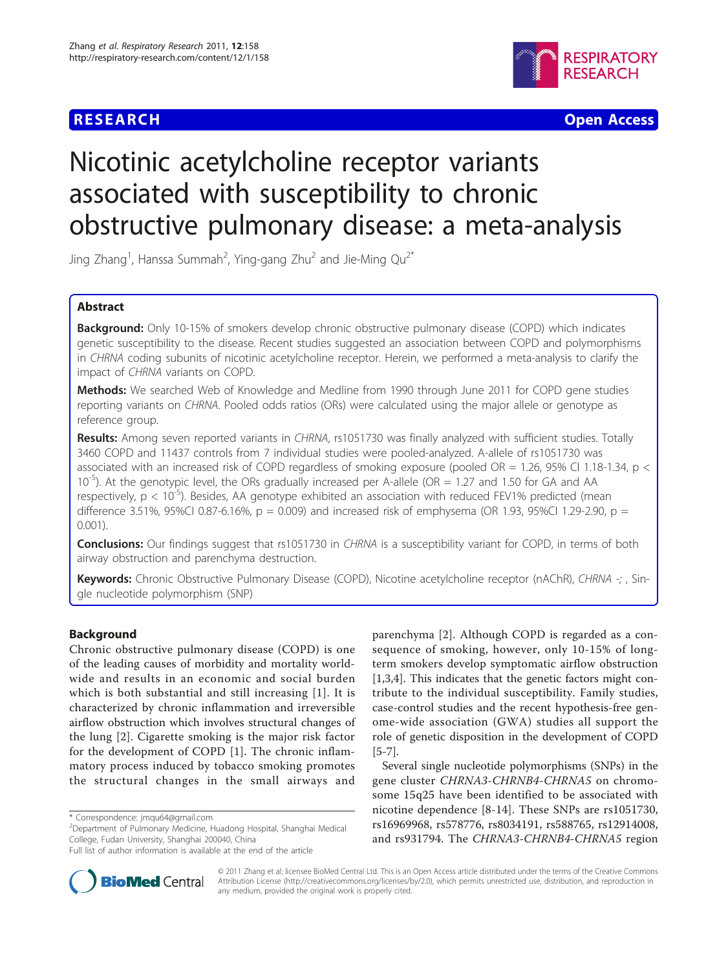

**RESEARCH CONTROL** CONTROL CONTROL CONTROL CONTROL CONTROL CONTROL CONTROL CONTROL CONTROL CONTROL CONTROL CONTROL CONTROL CONTROL CONTROL CONTROL CONTROL CONTROL CONTROL CONTROL CONTROL CONTROL CONTROL CONTROL CONTROL CON

# Nicotinic acetylcholine receptor variants associated with susceptibility to chronic obstructive pulmonary disease: a meta-analysis

Jing Zhang<sup>1</sup>, Hanssa Summah<sup>2</sup>, Ying-gang Zhu<sup>2</sup> and Jie-Ming Qu<sup>2\*</sup>

# Abstract

**Background:** Only 10-15% of smokers develop chronic obstructive pulmonary disease (COPD) which indicates genetic susceptibility to the disease. Recent studies suggested an association between COPD and polymorphisms in CHRNA coding subunits of nicotinic acetylcholine receptor. Herein, we performed a meta-analysis to clarify the impact of CHRNA variants on COPD.

Methods: We searched Web of Knowledge and Medline from 1990 through June 2011 for COPD gene studies reporting variants on CHRNA. Pooled odds ratios (ORs) were calculated using the major allele or genotype as reference group.

Results: Among seven reported variants in CHRNA, rs1051730 was finally analyzed with sufficient studies. Totally 3460 COPD and 11437 controls from 7 individual studies were pooled-analyzed. A-allele of rs1051730 was associated with an increased risk of COPD regardless of smoking exposure (pooled OR = 1.26, 95% CI 1.18-1.34, p <  $10^{-5}$ ). At the genotypic level, the ORs gradually increased per A-allele (OR = 1.27 and 1.50 for GA and AA respectively,  $p < 10^{-5}$ ). Besides, AA genotype exhibited an association with reduced FEV1% predicted (mean difference 3.51%, 95%CI 0.87-6.16%,  $p = 0.009$ ) and increased risk of emphysema (OR 1.93, 95%CI 1.29-2.90,  $p =$ 0.001).

**Conclusions:** Our findings suggest that rs1051730 in CHRNA is a susceptibility variant for COPD, in terms of both airway obstruction and parenchyma destruction.

Keywords: Chronic Obstructive Pulmonary Disease (COPD), Nicotine acetylcholine receptor (nAChR), CHRNA -; , Single nucleotide polymorphism (SNP)

# Background

Chronic obstructive pulmonary disease (COPD) is one of the leading causes of morbidity and mortality worldwide and results in an economic and social burden which is both substantial and still increasing [[1](#page-7-0)]. It is characterized by chronic inflammation and irreversible airflow obstruction which involves structural changes of the lung [[2\]](#page-7-0). Cigarette smoking is the major risk factor for the development of COPD [\[1](#page-7-0)]. The chronic inflammatory process induced by tobacco smoking promotes the structural changes in the small airways and

\* Correspondence: [jmqu64@gmail.com](mailto:jmqu64@gmail.com)

parenchyma [\[2](#page-7-0)]. Although COPD is regarded as a consequence of smoking, however, only 10-15% of longterm smokers develop symptomatic airflow obstruction [[1,3,4\]](#page-7-0). This indicates that the genetic factors might contribute to the individual susceptibility. Family studies, case-control studies and the recent hypothesis-free genome-wide association (GWA) studies all support the role of genetic disposition in the development of COPD [[5-7](#page-7-0)].

Several single nucleotide polymorphisms (SNPs) in the gene cluster CHRNA3-CHRNB4-CHRNA5 on chromosome 15q25 have been identified to be associated with nicotine dependence [\[8](#page-7-0)-[14\]](#page-7-0). These SNPs are rs1051730, rs16969968, rs578776, rs8034191, rs588765, rs12914008, and rs931794. The CHRNA3-CHRNB4-CHRNA5 region



© 2011 Zhang et al; licensee BioMed Central Ltd. This is an Open Access article distributed under the terms of the Creative Commons Attribution License [\(http://creativecommons.org/licenses/by/2.0](http://creativecommons.org/licenses/by/2.0)), which permits unrestricted use, distribution, and reproduction in any medium, provided the original work is properly cited.

<sup>2</sup> Department of Pulmonary Medicine, Huadong Hospital, Shanghai Medical College, Fudan University, Shanghai 200040, China

Full list of author information is available at the end of the article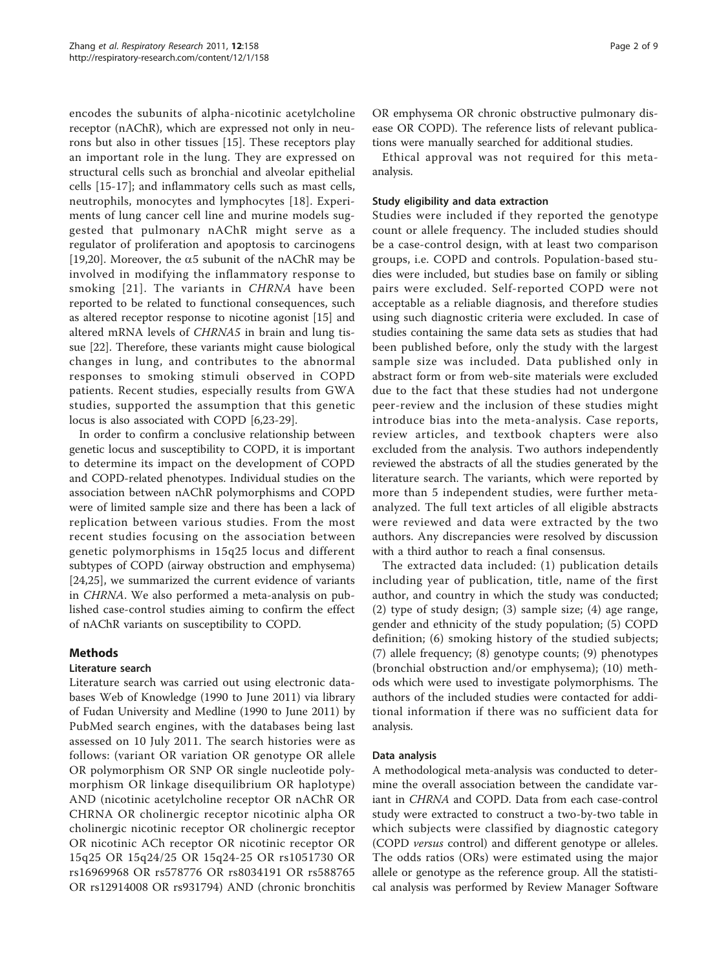encodes the subunits of alpha-nicotinic acetylcholine receptor (nAChR), which are expressed not only in neurons but also in other tissues [\[15](#page-7-0)]. These receptors play an important role in the lung. They are expressed on structural cells such as bronchial and alveolar epithelial cells [\[15](#page-7-0)-[17\]](#page-7-0); and inflammatory cells such as mast cells, neutrophils, monocytes and lymphocytes [[18](#page-7-0)]. Experiments of lung cancer cell line and murine models suggested that pulmonary nAChR might serve as a regulator of proliferation and apoptosis to carcinogens [[19,20\]](#page-7-0). Moreover, the  $\alpha$ 5 subunit of the nAChR may be involved in modifying the inflammatory response to smoking [[21](#page-7-0)]. The variants in CHRNA have been reported to be related to functional consequences, such as altered receptor response to nicotine agonist [\[15](#page-7-0)] and altered mRNA levels of CHRNA5 in brain and lung tissue [\[22](#page-7-0)]. Therefore, these variants might cause biological changes in lung, and contributes to the abnormal responses to smoking stimuli observed in COPD patients. Recent studies, especially results from GWA studies, supported the assumption that this genetic locus is also associated with COPD [\[6,23-29](#page-7-0)].

In order to confirm a conclusive relationship between genetic locus and susceptibility to COPD, it is important to determine its impact on the development of COPD and COPD-related phenotypes. Individual studies on the association between nAChR polymorphisms and COPD were of limited sample size and there has been a lack of replication between various studies. From the most recent studies focusing on the association between genetic polymorphisms in 15q25 locus and different subtypes of COPD (airway obstruction and emphysema) [[24,25\]](#page-7-0), we summarized the current evidence of variants in CHRNA. We also performed a meta-analysis on published case-control studies aiming to confirm the effect of nAChR variants on susceptibility to COPD.

# Methods

# Literature search

Literature search was carried out using electronic databases Web of Knowledge (1990 to June 2011) via library of Fudan University and Medline (1990 to June 2011) by PubMed search engines, with the databases being last assessed on 10 July 2011. The search histories were as follows: (variant OR variation OR genotype OR allele OR polymorphism OR SNP OR single nucleotide polymorphism OR linkage disequilibrium OR haplotype) AND (nicotinic acetylcholine receptor OR nAChR OR CHRNA OR cholinergic receptor nicotinic alpha OR cholinergic nicotinic receptor OR cholinergic receptor OR nicotinic ACh receptor OR nicotinic receptor OR 15q25 OR 15q24/25 OR 15q24-25 OR rs1051730 OR rs16969968 OR rs578776 OR rs8034191 OR rs588765 OR rs12914008 OR rs931794) AND (chronic bronchitis OR emphysema OR chronic obstructive pulmonary disease OR COPD). The reference lists of relevant publications were manually searched for additional studies.

Ethical approval was not required for this metaanalysis.

#### Study eligibility and data extraction

Studies were included if they reported the genotype count or allele frequency. The included studies should be a case-control design, with at least two comparison groups, i.e. COPD and controls. Population-based studies were included, but studies base on family or sibling pairs were excluded. Self-reported COPD were not acceptable as a reliable diagnosis, and therefore studies using such diagnostic criteria were excluded. In case of studies containing the same data sets as studies that had been published before, only the study with the largest sample size was included. Data published only in abstract form or from web-site materials were excluded due to the fact that these studies had not undergone peer-review and the inclusion of these studies might introduce bias into the meta-analysis. Case reports, review articles, and textbook chapters were also excluded from the analysis. Two authors independently reviewed the abstracts of all the studies generated by the literature search. The variants, which were reported by more than 5 independent studies, were further metaanalyzed. The full text articles of all eligible abstracts were reviewed and data were extracted by the two authors. Any discrepancies were resolved by discussion with a third author to reach a final consensus.

The extracted data included: (1) publication details including year of publication, title, name of the first author, and country in which the study was conducted; (2) type of study design; (3) sample size; (4) age range, gender and ethnicity of the study population; (5) COPD definition; (6) smoking history of the studied subjects; (7) allele frequency; (8) genotype counts; (9) phenotypes (bronchial obstruction and/or emphysema); (10) methods which were used to investigate polymorphisms. The authors of the included studies were contacted for additional information if there was no sufficient data for analysis.

# Data analysis

A methodological meta-analysis was conducted to determine the overall association between the candidate variant in CHRNA and COPD. Data from each case-control study were extracted to construct a two-by-two table in which subjects were classified by diagnostic category (COPD versus control) and different genotype or alleles. The odds ratios (ORs) were estimated using the major allele or genotype as the reference group. All the statistical analysis was performed by Review Manager Software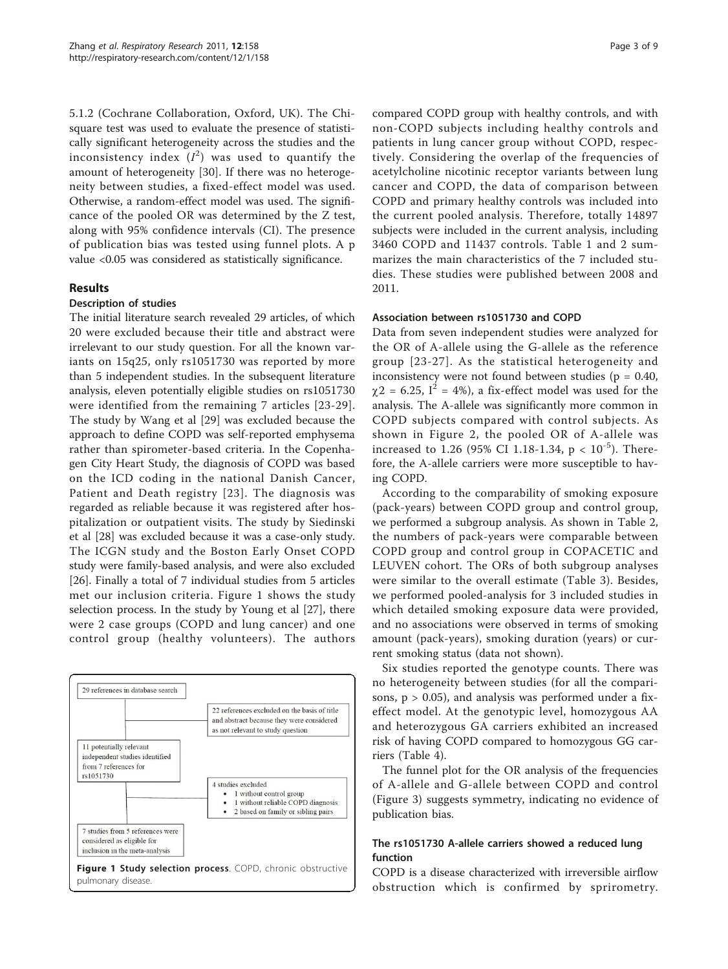5.1.2 (Cochrane Collaboration, Oxford, UK). The Chisquare test was used to evaluate the presence of statistically significant heterogeneity across the studies and the inconsistency index  $(I^2)$  was used to quantify the amount of heterogeneity [[30\]](#page-7-0). If there was no heterogeneity between studies, a fixed-effect model was used. Otherwise, a random-effect model was used. The significance of the pooled OR was determined by the Z test, along with 95% confidence intervals (CI). The presence of publication bias was tested using funnel plots. A p value <0.05 was considered as statistically significance.

### Results

#### Description of studies

The initial literature search revealed 29 articles, of which 20 were excluded because their title and abstract were irrelevant to our study question. For all the known variants on 15q25, only rs1051730 was reported by more than 5 independent studies. In the subsequent literature analysis, eleven potentially eligible studies on rs1051730 were identified from the remaining 7 articles [[23-29](#page-7-0)]. The study by Wang et al [\[29](#page-7-0)] was excluded because the approach to define COPD was self-reported emphysema rather than spirometer-based criteria. In the Copenhagen City Heart Study, the diagnosis of COPD was based on the ICD coding in the national Danish Cancer, Patient and Death registry [[23\]](#page-7-0). The diagnosis was regarded as reliable because it was registered after hospitalization or outpatient visits. The study by Siedinski et al [[28\]](#page-7-0) was excluded because it was a case-only study. The ICGN study and the Boston Early Onset COPD study were family-based analysis, and were also excluded [[26\]](#page-7-0). Finally a total of 7 individual studies from 5 articles met our inclusion criteria. Figure 1 shows the study selection process. In the study by Young et al [\[27](#page-7-0)], there were 2 case groups (COPD and lung cancer) and one control group (healthy volunteers). The authors



compared COPD group with healthy controls, and with non-COPD subjects including healthy controls and patients in lung cancer group without COPD, respectively. Considering the overlap of the frequencies of acetylcholine nicotinic receptor variants between lung cancer and COPD, the data of comparison between COPD and primary healthy controls was included into the current pooled analysis. Therefore, totally 14897 subjects were included in the current analysis, including 3460 COPD and 11437 controls. Table [1](#page-3-0) and [2](#page-3-0) summarizes the main characteristics of the 7 included studies. These studies were published between 2008 and 2011.

#### Association between rs1051730 and COPD

Data from seven independent studies were analyzed for the OR of A-allele using the G-allele as the reference group [[23-27\]](#page-7-0). As the statistical heterogeneity and inconsistency were not found between studies ( $p = 0.40$ ,  $\gamma$ 2 = 6.25, I<sup>2</sup> = 4%), a fix-effect model was used for the analysis. The A-allele was significantly more common in COPD subjects compared with control subjects. As shown in Figure [2,](#page-4-0) the pooled OR of A-allele was increased to 1.26 (95% CI 1.18-1.34,  $p < 10^{-5}$ ). Therefore, the A-allele carriers were more susceptible to having COPD.

According to the comparability of smoking exposure (pack-years) between COPD group and control group, we performed a subgroup analysis. As shown in Table [2](#page-3-0), the numbers of pack-years were comparable between COPD group and control group in COPACETIC and LEUVEN cohort. The ORs of both subgroup analyses were similar to the overall estimate (Table [3](#page-4-0)). Besides, we performed pooled-analysis for 3 included studies in which detailed smoking exposure data were provided, and no associations were observed in terms of smoking amount (pack-years), smoking duration (years) or current smoking status (data not shown).

Six studies reported the genotype counts. There was no heterogeneity between studies (for all the comparisons,  $p > 0.05$ ), and analysis was performed under a fixeffect model. At the genotypic level, homozygous AA and heterozygous GA carriers exhibited an increased risk of having COPD compared to homozygous GG carriers (Table [4](#page-5-0)).

The funnel plot for the OR analysis of the frequencies of A-allele and G-allele between COPD and control (Figure [3](#page-5-0)) suggests symmetry, indicating no evidence of publication bias.

# The rs1051730 A-allele carriers showed a reduced lung function

COPD is a disease characterized with irreversible airflow obstruction which is confirmed by sprirometry.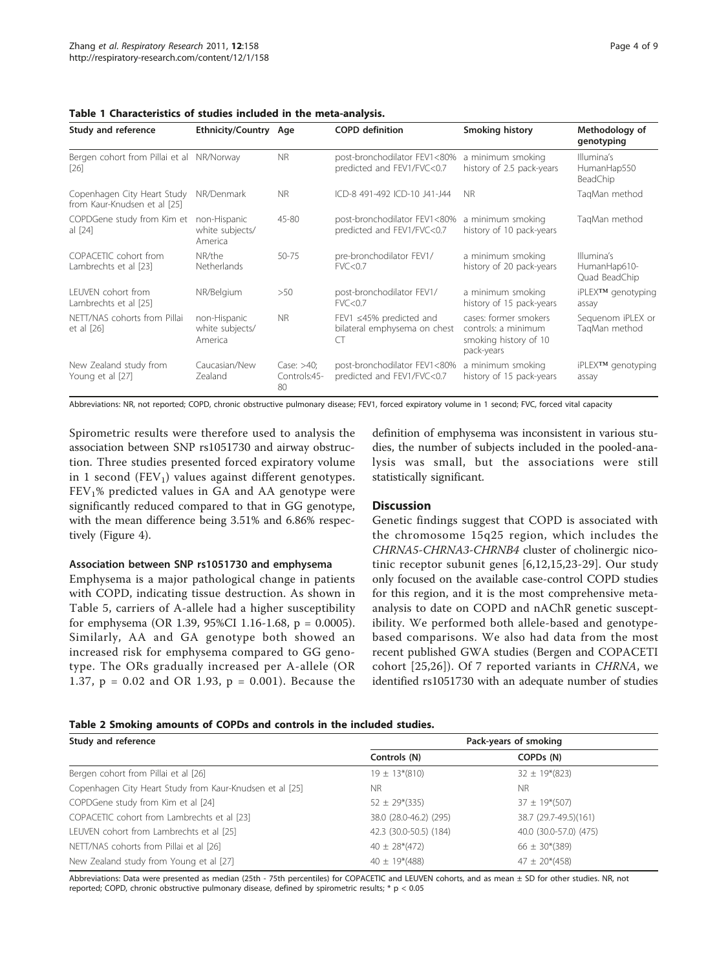| <b>Study and reference</b>                                  | Ethnicity/Country Age                      |                                     | <b>COPD</b> definition                                              | <b>Smoking history</b>                                                              | Methodology of<br>genotyping                |
|-------------------------------------------------------------|--------------------------------------------|-------------------------------------|---------------------------------------------------------------------|-------------------------------------------------------------------------------------|---------------------------------------------|
| Bergen cohort from Pillai et al NR/Norway<br>[26]           |                                            | <b>NR</b>                           | post-bronchodilator FEV1<80%<br>predicted and FEV1/FVC<0.7          | a minimum smoking<br>history of 2.5 pack-years                                      | Illumina's<br>HumanHap550<br>BeadChip       |
| Copenhagen City Heart Study<br>from Kaur-Knudsen et al [25] | NR/Denmark                                 | NR.                                 | ICD-8 491-492 ICD-10 J41-J44                                        | <b>NR</b>                                                                           | TagMan method                               |
| COPDGene study from Kim et<br>al [24]                       | non-Hispanic<br>white subjects/<br>America | 45-80                               | post-bronchodilator FEV1<80%<br>predicted and FEV1/FVC<0.7          | a minimum smoking<br>history of 10 pack-years                                       | TagMan method                               |
| COPACETIC cohort from<br>Lambrechts et al [23]              | NR/the<br><b>Netherlands</b>               | 50-75                               | pre-bronchodilator FEV1/<br>FVC < 0.7                               | a minimum smoking<br>history of 20 pack-years                                       | Illumina's<br>HumanHap610-<br>Quad BeadChip |
| LEUVEN cohort from<br>Lambrechts et al [25]                 | NR/Belgium                                 | >50                                 | post-bronchodilator FEV1/<br>FVC<0.7                                | a minimum smoking<br>history of 15 pack-years                                       | iPLEX™ genotyping<br>assay                  |
| NETT/NAS cohorts from Pillai<br>et al $[26]$                | non-Hispanic<br>white subjects/<br>America | <b>NR</b>                           | FEV1 $\leq$ 45% predicted and<br>bilateral emphysema on chest<br>CT | cases: former smokers<br>controls: a minimum<br>smoking history of 10<br>pack-years | Sequenom iPLEX or<br>TagMan method          |
| New Zealand study from<br>Young et al [27]                  | Caucasian/New<br>Zealand                   | Case: $>40$ ;<br>Controls:45-<br>80 | post-bronchodilator FEV1<80%<br>predicted and FEV1/FVC<0.7          | a minimum smoking<br>history of 15 pack-years                                       | iPLEX™ genotyping<br>assay                  |

<span id="page-3-0"></span>

Abbreviations: NR, not reported; COPD, chronic obstructive pulmonary disease; FEV1, forced expiratory volume in 1 second; FVC, forced vital capacity

Spirometric results were therefore used to analysis the association between SNP rs1051730 and airway obstruction. Three studies presented forced expiratory volume in 1 second  $(FEV_1)$  values against different genotypes.  $FEV<sub>1</sub>%$  predicted values in GA and AA genotype were significantly reduced compared to that in GG genotype, with the mean difference being 3.51% and 6.86% respectively (Figure [4](#page-6-0)).

#### Association between SNP rs1051730 and emphysema

Emphysema is a major pathological change in patients with COPD, indicating tissue destruction. As shown in Table [5](#page-6-0), carriers of A-allele had a higher susceptibility for emphysema (OR 1.39, 95%CI 1.16-1.68, p = 0.0005). Similarly, AA and GA genotype both showed an increased risk for emphysema compared to GG genotype. The ORs gradually increased per A-allele (OR 1.37, p = 0.02 and OR 1.93, p = 0.001). Because the

definition of emphysema was inconsistent in various studies, the number of subjects included in the pooled-analysis was small, but the associations were still statistically significant.

#### **Discussion**

Genetic findings suggest that COPD is associated with the chromosome 15q25 region, which includes the CHRNA5-CHRNA3-CHRNB4 cluster of cholinergic nicotinic receptor subunit genes [[6,12,15](#page-7-0),[23-29\]](#page-7-0). Our study only focused on the available case-control COPD studies for this region, and it is the most comprehensive metaanalysis to date on COPD and nAChR genetic susceptibility. We performed both allele-based and genotypebased comparisons. We also had data from the most recent published GWA studies (Bergen and COPACETI cohort [[25,26](#page-7-0)]). Of 7 reported variants in CHRNA, we identified rs1051730 with an adequate number of studies

#### Table 2 Smoking amounts of COPDs and controls in the included studies.

| Study and reference                                      | Pack-years of smoking  |                        |  |  |  |
|----------------------------------------------------------|------------------------|------------------------|--|--|--|
|                                                          | Controls (N)           | COPD <sub>s</sub> (N)  |  |  |  |
| Bergen cohort from Pillai et al [26]                     | $19 \pm 13*(810)$      | $32 \pm 19*(823)$      |  |  |  |
| Copenhagen City Heart Study from Kaur-Knudsen et al [25] | <b>NR</b>              | <b>NR</b>              |  |  |  |
| COPDGene study from Kim et al [24]                       | $52 \pm 29*(335)$      | $37 \pm 19*(507)$      |  |  |  |
| COPACETIC cohort from Lambrechts et al [23]              | 38.0 (28.0-46.2) (295) | 38.7 (29.7-49.5)(161)  |  |  |  |
| LEUVEN cohort from Lambrechts et al [25]                 | 42.3 (30.0-50.5) (184) | 40.0 (30.0-57.0) (475) |  |  |  |
| NETT/NAS cohorts from Pillai et al [26]                  | $40 \pm 28*(472)$      | $66 \pm 30*(389)$      |  |  |  |
| New Zealand study from Young et al [27]                  | $40 \pm 19*(488)$      | $47 \pm 20*(458)$      |  |  |  |

Abbreviations: Data were presented as median (25th - 75th percentiles) for COPACETIC and LEUVEN cohorts, and as mean ± SD for other studies. NR, not reported; COPD, chronic obstructive pulmonary disease, defined by spirometric results;  $*$  p < 0.05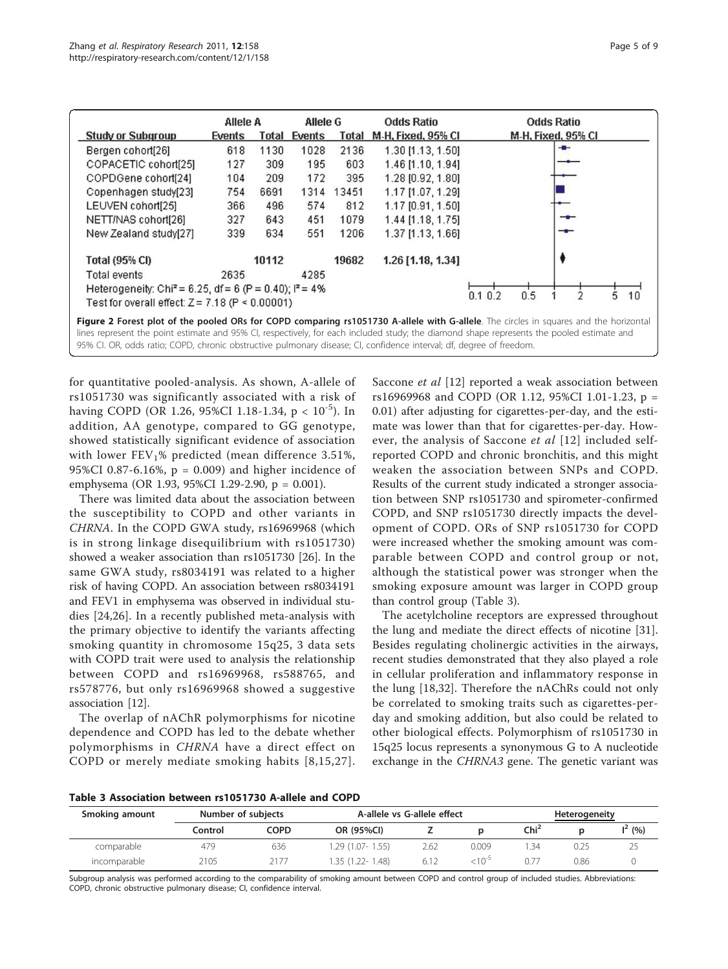<span id="page-4-0"></span>

|                                                                                                                                                                                                                                                                                   | Allele A |       | Allele G     |       | <b>Odds Ratio</b>         | <b>Odds Ratio</b>         |  |  |  |
|-----------------------------------------------------------------------------------------------------------------------------------------------------------------------------------------------------------------------------------------------------------------------------------|----------|-------|--------------|-------|---------------------------|---------------------------|--|--|--|
| <b>Study or Subgroup</b>                                                                                                                                                                                                                                                          | Events   |       | Total Events | Total | <b>M-H. Fixed, 95% CI</b> | <b>M-H, Fixed, 95% CI</b> |  |  |  |
| Bergen cohort[26]                                                                                                                                                                                                                                                                 | 618      | 1130  | 1028         | 2136  | 1.30 [1.13, 1.50]         | --                        |  |  |  |
| COPACETIC cohort[25]                                                                                                                                                                                                                                                              | 127      | 309   | 195          | 603   | 1.46 [1.10, 1.94]         |                           |  |  |  |
| COPDGene cohort[24]                                                                                                                                                                                                                                                               | 104      | 209   | 172          | 395   | 1.28 [0.92, 1.80]         |                           |  |  |  |
| Copenhagen study[23]                                                                                                                                                                                                                                                              | 754      | 6691  | 1314         | 13451 | 1.17 [1.07, 1.29]         |                           |  |  |  |
| LEUVEN cohort[25]                                                                                                                                                                                                                                                                 | 366      | 496   | 574          | 812   | 1.17 [0.91, 1.50]         |                           |  |  |  |
| NETT/NAS cohort[26]                                                                                                                                                                                                                                                               | 327      | 643   | 451          | 1079  | 1.44 [1.18, 1.75]         |                           |  |  |  |
| New Zealand study[27]                                                                                                                                                                                                                                                             | 339      | 634   | 551          | 1206  | 1.37 [1.13, 1.66]         |                           |  |  |  |
| <b>Total (95% CI)</b>                                                                                                                                                                                                                                                             |          | 10112 |              | 19682 | $1.26$ [1.18, 1.34]       |                           |  |  |  |
| Total events                                                                                                                                                                                                                                                                      | 2635     |       | 4285         |       |                           |                           |  |  |  |
| Heterogeneity: Chi <sup>2</sup> = 6.25, df = 6 (P = 0.40); $P = 4\%$                                                                                                                                                                                                              |          |       |              |       |                           | 10<br>0.1 0.2             |  |  |  |
| Test for overall effect: $Z = 7.18$ (P < 0.00001)                                                                                                                                                                                                                                 |          |       |              |       |                           | 0.5                       |  |  |  |
| Figure 2 Forest plot of the pooled ORs for COPD comparing rs1051730 A-allele with G-allele. The circles in squares and the horizontal<br>lines represent the point estimate and 05% CL respectively for each included study; the diamond shape represents the pooled estimate and |          |       |              |       |                           |                           |  |  |  |

lines represent the point estimate and 95% CI, respectively, for each included study; the diamond shape represents the pooled estimate and 95% CI. OR, odds ratio; COPD, chronic obstructive pulmonary disease; CI, confidence interval; df, degree of freedom.

for quantitative pooled-analysis. As shown, A-allele of rs1051730 was significantly associated with a risk of having COPD (OR 1.26, 95%CI 1.18-1.34,  $p < 10^{-5}$ ). In addition, AA genotype, compared to GG genotype, showed statistically significant evidence of association with lower  $FEV<sub>1</sub>%$  predicted (mean difference 3.51%, 95%CI 0.87-6.16%,  $p = 0.009$ ) and higher incidence of emphysema (OR 1.93, 95%CI 1.29-2.90, p = 0.001).

There was limited data about the association between the susceptibility to COPD and other variants in CHRNA. In the COPD GWA study, rs16969968 (which is in strong linkage disequilibrium with rs1051730) showed a weaker association than rs1051730 [\[26](#page-7-0)]. In the same GWA study, rs8034191 was related to a higher risk of having COPD. An association between rs8034191 and FEV1 in emphysema was observed in individual studies [[24,26](#page-7-0)]. In a recently published meta-analysis with the primary objective to identify the variants affecting smoking quantity in chromosome 15q25, 3 data sets with COPD trait were used to analysis the relationship between COPD and rs16969968, rs588765, and rs578776, but only rs16969968 showed a suggestive association [[12](#page-7-0)].

The overlap of nAChR polymorphisms for nicotine dependence and COPD has led to the debate whether polymorphisms in CHRNA have a direct effect on COPD or merely mediate smoking habits [[8](#page-7-0),[15](#page-7-0),[27\]](#page-7-0).

Saccone et al [\[12\]](#page-7-0) reported a weak association between rs16969968 and COPD (OR 1.12, 95%CI 1.01-1.23, p = 0.01) after adjusting for cigarettes-per-day, and the estimate was lower than that for cigarettes-per-day. How-ever, the analysis of Saccone et al [[12](#page-7-0)] included selfreported COPD and chronic bronchitis, and this might weaken the association between SNPs and COPD. Results of the current study indicated a stronger association between SNP rs1051730 and spirometer-confirmed COPD, and SNP rs1051730 directly impacts the development of COPD. ORs of SNP rs1051730 for COPD were increased whether the smoking amount was comparable between COPD and control group or not, although the statistical power was stronger when the smoking exposure amount was larger in COPD group than control group (Table 3).

The acetylcholine receptors are expressed throughout the lung and mediate the direct effects of nicotine [\[31](#page-7-0)]. Besides regulating cholinergic activities in the airways, recent studies demonstrated that they also played a role in cellular proliferation and inflammatory response in the lung [\[18](#page-7-0),[32\]](#page-7-0). Therefore the nAChRs could not only be correlated to smoking traits such as cigarettes-perday and smoking addition, but also could be related to other biological effects. Polymorphism of rs1051730 in 15q25 locus represents a synonymous G to A nucleotide exchange in the CHRNA3 gene. The genetic variant was

| Table 3 Association between rs1051730 A-allele and COPD |  |  |  |  |  |
|---------------------------------------------------------|--|--|--|--|--|
|---------------------------------------------------------|--|--|--|--|--|

| Smoking amount | Number of subjects |      | A-allele vs G-allele effect |      | <b>Heterogeneity</b> |         |      |           |
|----------------|--------------------|------|-----------------------------|------|----------------------|---------|------|-----------|
|                | Control            | COPD | OR (95%CI)                  |      |                      | $Chi^2$ |      | $1^2$ (%) |
| comparable     | 479                | 636  | 1.29 (1.07- 1.55)           | 2.62 | 0.009                | .34     | 0.25 |           |
| incomparable   | 2105               | 2177 | 1.35 (1.22- 1.48)           | 6.12 | $< 10^{-7}$          |         | 0.86 |           |

Subgroup analysis was performed according to the comparability of smoking amount between COPD and control group of included studies. Abbreviations: COPD, chronic obstructive pulmonary disease; CI, confidence interval.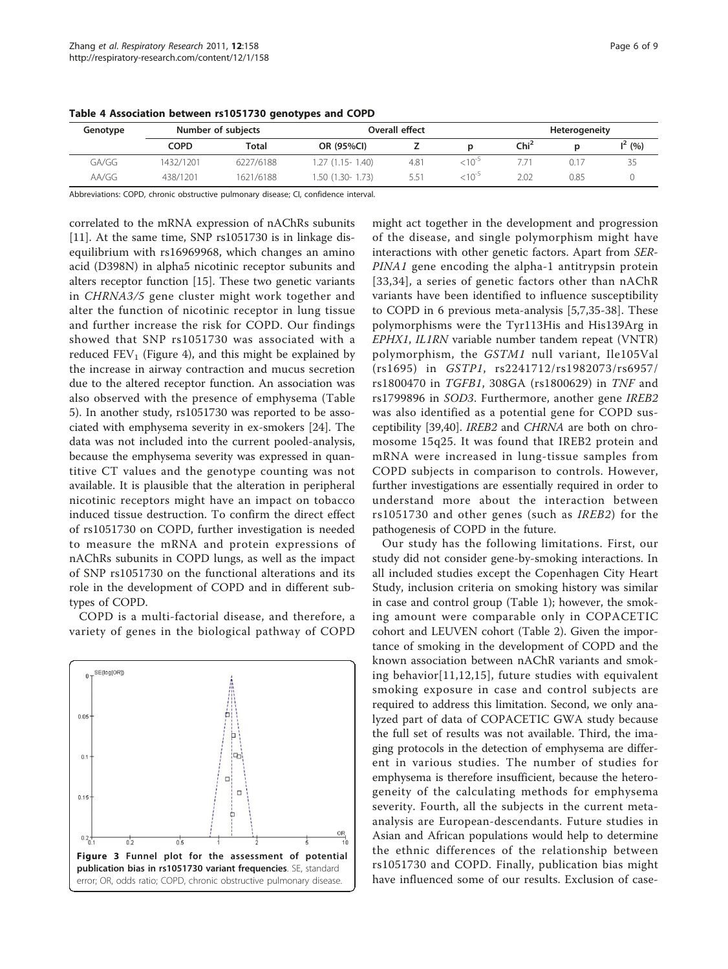| Genotype | Number of subjects |           |                   | Overall effect | <b>Heterogeneity</b> |                  |      |           |
|----------|--------------------|-----------|-------------------|----------------|----------------------|------------------|------|-----------|
|          | COPD               | Total     | OR (95%CI)        |                |                      | Chi <sup>2</sup> |      | $I^2(% )$ |
| GA/GG    | 1432/1201          | 6227/6188 | 1.27 (1.15- 1.40) | 4.81           | $< 10^{-5}$          |                  |      | 35        |
| AA/GG    | 438/1201           | 1621/6188 | 1.50 (1.30- 1.73) | 5.51           | $< 10^{-5}$          | 2.02             | 0.85 |           |

<span id="page-5-0"></span>Table 4 Association between rs1051730 genotypes and COPD

Abbreviations: COPD, chronic obstructive pulmonary disease; CI, confidence interval.

correlated to the mRNA expression of nAChRs subunits [[11\]](#page-7-0). At the same time, SNP rs1051730 is in linkage disequilibrium with rs16969968, which changes an amino acid (D398N) in alpha5 nicotinic receptor subunits and alters receptor function [[15\]](#page-7-0). These two genetic variants in CHRNA3/5 gene cluster might work together and alter the function of nicotinic receptor in lung tissue and further increase the risk for COPD. Our findings showed that SNP rs1051730 was associated with a reduced  $FEV<sub>1</sub>$  (Figure [4\)](#page-6-0), and this might be explained by the increase in airway contraction and mucus secretion due to the altered receptor function. An association was also observed with the presence of emphysema (Table [5\)](#page-6-0). In another study, rs1051730 was reported to be associated with emphysema severity in ex-smokers [[24\]](#page-7-0). The data was not included into the current pooled-analysis, because the emphysema severity was expressed in quantitive CT values and the genotype counting was not available. It is plausible that the alteration in peripheral nicotinic receptors might have an impact on tobacco induced tissue destruction. To confirm the direct effect of rs1051730 on COPD, further investigation is needed to measure the mRNA and protein expressions of nAChRs subunits in COPD lungs, as well as the impact of SNP rs1051730 on the functional alterations and its role in the development of COPD and in different subtypes of COPD.

COPD is a multi-factorial disease, and therefore, a variety of genes in the biological pathway of COPD



might act together in the development and progression of the disease, and single polymorphism might have interactions with other genetic factors. Apart from SER-PINA1 gene encoding the alpha-1 antitrypsin protein [[33,34](#page-7-0)], a series of genetic factors other than nAChR variants have been identified to influence susceptibility to COPD in 6 previous meta-analysis [\[5](#page-7-0),[7,35-38](#page-7-0)]. These polymorphisms were the Tyr113His and His139Arg in EPHX1, IL1RN variable number tandem repeat (VNTR) polymorphism, the GSTM1 null variant, Ile105Val (rs1695) in GSTP1, rs2241712/rs1982073/rs6957/ rs1800470 in TGFB1, 308GA (rs1800629) in TNF and rs1799896 in SOD3. Furthermore, another gene IREB2 was also identified as a potential gene for COPD susceptibility [\[39](#page-7-0)[,40\]](#page-8-0). IREB2 and CHRNA are both on chromosome 15q25. It was found that IREB2 protein and mRNA were increased in lung-tissue samples from COPD subjects in comparison to controls. However, further investigations are essentially required in order to understand more about the interaction between rs1051730 and other genes (such as IREB2) for the pathogenesis of COPD in the future.

Our study has the following limitations. First, our study did not consider gene-by-smoking interactions. In all included studies except the Copenhagen City Heart Study, inclusion criteria on smoking history was similar in case and control group (Table [1\)](#page-3-0); however, the smoking amount were comparable only in COPACETIC cohort and LEUVEN cohort (Table [2](#page-3-0)). Given the importance of smoking in the development of COPD and the known association between nAChR variants and smoking behavior[\[11,12,15](#page-7-0)], future studies with equivalent smoking exposure in case and control subjects are required to address this limitation. Second, we only analyzed part of data of COPACETIC GWA study because the full set of results was not available. Third, the imaging protocols in the detection of emphysema are different in various studies. The number of studies for emphysema is therefore insufficient, because the heterogeneity of the calculating methods for emphysema severity. Fourth, all the subjects in the current metaanalysis are European-descendants. Future studies in Asian and African populations would help to determine the ethnic differences of the relationship between rs1051730 and COPD. Finally, publication bias might have influenced some of our results. Exclusion of case-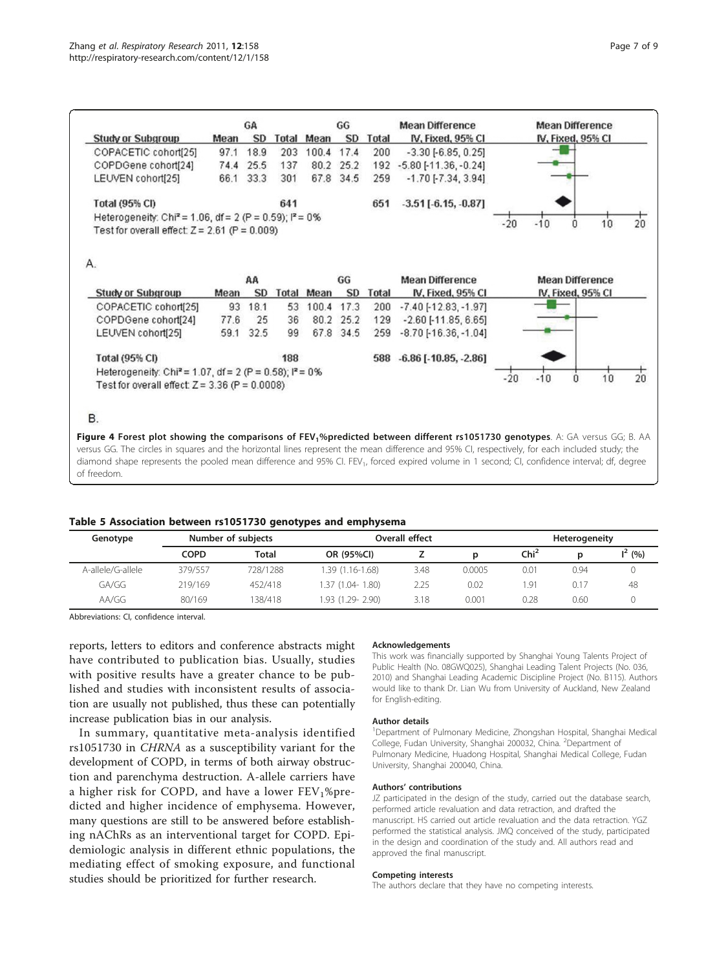<span id="page-6-0"></span>

|                                                                      |      | GA        |       |            | GG<br><b>SD</b> |              | <b>Mean Difference</b>         |       |                        | <b>Mean Difference</b> |    |                |
|----------------------------------------------------------------------|------|-----------|-------|------------|-----------------|--------------|--------------------------------|-------|------------------------|------------------------|----|----------------|
| <b>Study or Subgroup</b>                                             | Mean | <b>SD</b> |       | Total Mean |                 | <b>Total</b> | IV, Fixed, 95% CI              |       |                        | IV, Fixed, 95% CI      |    |                |
| COPACETIC cohort[25]                                                 | 97.1 | 18.9      | 203   | 100.4 17.4 |                 | 200          | $-3.30[-6.85, 0.25]$           |       |                        |                        |    |                |
| COPDGene cohort[24]                                                  | 74.4 | 25.5      | 137   |            | 80.2 25.2       |              | 192 -5.80 [-11.36, -0.24]      |       |                        |                        |    |                |
| LEUVEN cohort[25]                                                    | 66.1 | 33.3      | 301   |            | 67.8 34.5       | 259          | $-1.70$ [ $-7.34$ , $3.94$ ]   |       |                        |                        |    |                |
| Total (95% CI)                                                       |      |           | 641   |            |                 | 651          | $-3.51[-6.15,-0.87]$           |       |                        |                        |    |                |
| Heterogeneity: Chi <sup>2</sup> = 1.06, df = 2 (P = 0.59); $P = 0\%$ |      |           |       |            |                 |              |                                |       |                        |                        |    |                |
| Test for overall effect: $Z = 2.61$ (P = 0.009)                      |      |           |       |            |                 |              |                                | $-20$ | $-10$                  | 0                      | 10 | 20             |
| А.                                                                   |      |           |       |            |                 |              |                                |       |                        |                        |    |                |
|                                                                      |      | AA        |       | GG         |                 |              | <b>Mean Difference</b>         |       | <b>Mean Difference</b> |                        |    |                |
| <b>Study or Subgroup</b>                                             | Mean | <b>SD</b> | Total | Mean       | <b>SD</b>       | Total        | IV, Fixed, 95% CI              |       |                        | IV, Fixed, 95% CI      |    |                |
| COPACETIC cohort[25]                                                 | 93   | 18.1      | 53    | 100.4      | 17.3            | 200          | $-7.40$ [ $-12.83$ , $-1.97$ ] |       |                        |                        |    |                |
| COPDGene cohort[24]                                                  | 77.6 | 25        | 36    |            | 80.2 25.2       | 129          | $-2.60$ [ $-11.85$ , 6.65]     |       |                        |                        |    |                |
| LEUVEN cohort[25]                                                    | 59.1 | 32.5      | 99    |            | 67.8 34.5       | 259          | $-8.70$ [ $-16.36$ , $-1.04$ ] |       |                        |                        |    |                |
| <b>Total (95% CI)</b>                                                |      |           | 188   |            |                 |              | 588 -6.86 [-10.85, -2.86]      |       |                        |                        |    |                |
| Heterogeneity: Chi <sup>2</sup> = 1.07, df = 2 (P = 0.58); $P = 0\%$ |      |           |       |            |                 |              |                                |       |                        |                        |    |                |
| Test for overall effect: $Z = 3.36$ (P = 0.0008)                     |      |           |       |            |                 |              |                                | $-20$ | $-10$                  | 0                      | 10 | $\frac{1}{20}$ |
|                                                                      |      |           |       |            |                 |              |                                |       |                        |                        |    |                |
|                                                                      |      |           |       |            |                 |              |                                |       |                        |                        |    |                |
| <b>B.</b>                                                            |      |           |       |            |                 |              |                                |       |                        |                        |    |                |

diamond shape represents the pooled mean difference and 95% CI. FEV<sub>1</sub>, forced expired volume in 1 second; CI, confidence interval; df, degree of freedom.

### Table 5 Association between rs1051730 genotypes and emphysema

| Genotype          |             | Number of subjects |                  | Overall effect |        | <b>Heterogeneity</b> |      |          |  |
|-------------------|-------------|--------------------|------------------|----------------|--------|----------------------|------|----------|--|
|                   | <b>COPD</b> | Total              | OR (95%CI)       |                | D      | Chi <sup>2</sup>     | D    | $I^2(%)$ |  |
| A-allele/G-allele | 379/557     | 728/1288           | 1.39 (1.16-1.68) | 3.48           | 0.0005 | 0.01                 | 0.94 |          |  |
| GA/GG             | 219/169     | 452/418            | 1.37 (1.04-1.80) | 2.25           | 0.02   | <sub>1.</sub> 91     | 0.17 | 48       |  |
| AA/GG             | 80/169      | i 38/418           | 1.93 (1.29-2.90) | 3.18           | 0.001  | 0.28                 | 0.60 |          |  |

Abbreviations: CI, confidence interval.

reports, letters to editors and conference abstracts might have contributed to publication bias. Usually, studies with positive results have a greater chance to be published and studies with inconsistent results of association are usually not published, thus these can potentially increase publication bias in our analysis.

In summary, quantitative meta-analysis identified rs1051730 in CHRNA as a susceptibility variant for the development of COPD, in terms of both airway obstruction and parenchyma destruction. A-allele carriers have a higher risk for COPD, and have a lower  $FEV<sub>1</sub>%pre$ dicted and higher incidence of emphysema. However, many questions are still to be answered before establishing nAChRs as an interventional target for COPD. Epidemiologic analysis in different ethnic populations, the mediating effect of smoking exposure, and functional studies should be prioritized for further research.

#### Acknowledgements

This work was financially supported by Shanghai Young Talents Project of Public Health (No. 08GWQ025), Shanghai Leading Talent Projects (No. 036, 2010) and Shanghai Leading Academic Discipline Project (No. B115). Authors would like to thank Dr. Lian Wu from University of Auckland, New Zealand for English-editing.

#### Author details

<sup>1</sup>Department of Pulmonary Medicine, Zhongshan Hospital, Shanghai Medical College, Fudan University, Shanghai 200032, China. <sup>2</sup>Department of Pulmonary Medicine, Huadong Hospital, Shanghai Medical College, Fudan University, Shanghai 200040, China.

#### Authors' contributions

JZ participated in the design of the study, carried out the database search, performed article revaluation and data retraction, and drafted the manuscript. HS carried out article revaluation and the data retraction. YGZ performed the statistical analysis. JMQ conceived of the study, participated in the design and coordination of the study and. All authors read and approved the final manuscript.

#### Competing interests

The authors declare that they have no competing interests.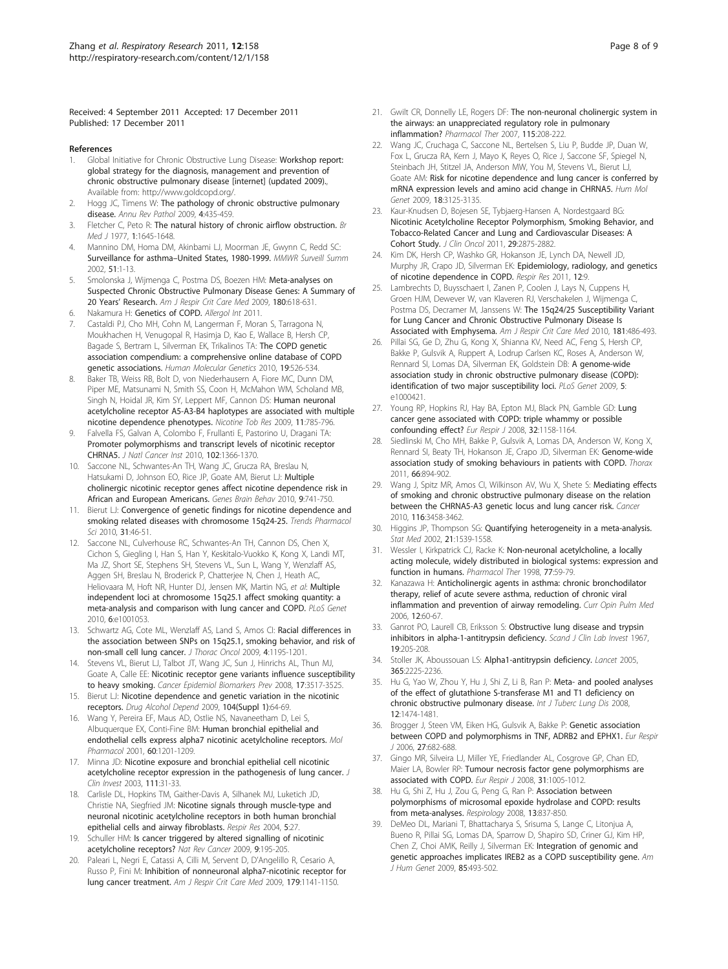<span id="page-7-0"></span>Received: 4 September 2011 Accepted: 17 December 2011 Published: 17 December 2011

#### References

- 1. Global Initiative for Chronic Obstructive Lung Disease: Workshop report: global strategy for the diagnosis, management and prevention of chronic obstructive pulmonary disease [internet] (updated 2009)., Available from: http://www.goldcopd.org/.
- Hogg JC, Timens W: [The pathology of chronic obstructive pulmonary](http://www.ncbi.nlm.nih.gov/pubmed/18954287?dopt=Abstract) [disease.](http://www.ncbi.nlm.nih.gov/pubmed/18954287?dopt=Abstract) Annu Rev Pathol 2009, 4:435-459.
- Fletcher C, Peto R: [The natural history of chronic airflow obstruction.](http://www.ncbi.nlm.nih.gov/pubmed/871704?dopt=Abstract) Br Med J 1977, 1:1645-1648.
- 4. Mannino DM, Homa DM, Akinbami LJ, Moorman JE, Gwynn C, Redd SC: Surveillance for asthma–[United States, 1980-1999.](http://www.ncbi.nlm.nih.gov/pubmed/12529087?dopt=Abstract) MMWR Surveill Summ 2002, 51:1-13.
- Smolonska J, Wijmenga C, Postma DS, Boezen HM: [Meta-analyses on](http://www.ncbi.nlm.nih.gov/pubmed/19608716?dopt=Abstract) [Suspected Chronic Obstructive Pulmonary Disease Genes: A Summary of](http://www.ncbi.nlm.nih.gov/pubmed/19608716?dopt=Abstract) 20 Years' [Research.](http://www.ncbi.nlm.nih.gov/pubmed/19608716?dopt=Abstract) Am J Respir Crit Care Med 2009, 180:618-631.
- 6. Nakamura H: Genetics of COPD. Allergol Int 2011.
- 7. Castaldi PJ, Cho MH, Cohn M, Langerman F, Moran S, Tarragona N, Moukhachen H, Venugopal R, Hasimja D, Kao E, Wallace B, Hersh CP, Bagade S, Bertram L, Silverman EK, Trikalinos TA: [The COPD genetic](http://www.ncbi.nlm.nih.gov/pubmed/19933216?dopt=Abstract) [association compendium: a comprehensive online database of COPD](http://www.ncbi.nlm.nih.gov/pubmed/19933216?dopt=Abstract) [genetic associations.](http://www.ncbi.nlm.nih.gov/pubmed/19933216?dopt=Abstract) Human Molecular Genetics 2010, 19:526-534.
- Baker TB, Weiss RB, Bolt D, von Niederhausern A, Fiore MC, Dunn DM, Piper ME, Matsunami N, Smith SS, Coon H, McMahon WM, Scholand MB, Singh N, Hoidal JR, Kim SY, Leppert MF, Cannon DS: [Human neuronal](http://www.ncbi.nlm.nih.gov/pubmed/19436041?dopt=Abstract) [acetylcholine receptor A5-A3-B4 haplotypes are associated with multiple](http://www.ncbi.nlm.nih.gov/pubmed/19436041?dopt=Abstract) [nicotine dependence phenotypes.](http://www.ncbi.nlm.nih.gov/pubmed/19436041?dopt=Abstract) Nicotine Tob Res 2009, 11:785-796.
- 9. Falvella FS, Galvan A, Colombo F, Frullanti E, Pastorino U, Dragani TA: [Promoter polymorphisms and transcript levels of nicotinic receptor](http://www.ncbi.nlm.nih.gov/pubmed/20733116?dopt=Abstract) [CHRNA5.](http://www.ncbi.nlm.nih.gov/pubmed/20733116?dopt=Abstract) J Natl Cancer Inst 2010, 102:1366-1370.
- 10. Saccone NL, Schwantes-An TH, Wang JC, Grucza RA, Breslau N, Hatsukami D, Johnson EO, Rice JP, Goate AM, Bierut LJ: [Multiple](http://www.ncbi.nlm.nih.gov/pubmed/20584212?dopt=Abstract) [cholinergic nicotinic receptor genes affect nicotine dependence risk in](http://www.ncbi.nlm.nih.gov/pubmed/20584212?dopt=Abstract) [African and European Americans.](http://www.ncbi.nlm.nih.gov/pubmed/20584212?dopt=Abstract) Genes Brain Behav 2010, 9:741-750.
- 11. Bierut LJ: [Convergence of genetic findings for nicotine dependence and](http://www.ncbi.nlm.nih.gov/pubmed/19896728?dopt=Abstract) [smoking related diseases with chromosome 15q24-25.](http://www.ncbi.nlm.nih.gov/pubmed/19896728?dopt=Abstract) Trends Pharmacol Sci 2010, 31:46-51.
- 12. Saccone NL, Culverhouse RC, Schwantes-An TH, Cannon DS, Chen X, Cichon S, Giegling I, Han S, Han Y, Keskitalo-Vuokko K, Kong X, Landi MT, Ma JZ, Short SE, Stephens SH, Stevens VL, Sun L, Wang Y, Wenzlaff AS, Aggen SH, Breslau N, Broderick P, Chatterjee N, Chen J, Heath AC, Heliovaara M, Hoft NR, Hunter DJ, Jensen MK, Martin NG, et al: Multiple independent loci at chromosome 15q25.1 affect smoking quantity: a meta-analysis and comparison with lung cancer and COPD. PLoS Genet 2010, 6:e1001053.
- 13. Schwartz AG, Cote ML, Wenzlaff AS, Land S, Amos CI: [Racial differences in](http://www.ncbi.nlm.nih.gov/pubmed/19641473?dopt=Abstract) [the association between SNPs on 15q25.1, smoking behavior, and risk of](http://www.ncbi.nlm.nih.gov/pubmed/19641473?dopt=Abstract) [non-small cell lung cancer.](http://www.ncbi.nlm.nih.gov/pubmed/19641473?dopt=Abstract) J Thorac Oncol 2009, 4:1195-1201.
- 14. Stevens VL, Bierut LJ, Talbot JT, Wang JC, Sun J, Hinrichs AL, Thun MJ, Goate A, Calle EE: Nicotinic [receptor gene variants influence susceptibility](http://www.ncbi.nlm.nih.gov/pubmed/19029397?dopt=Abstract) [to heavy smoking.](http://www.ncbi.nlm.nih.gov/pubmed/19029397?dopt=Abstract) Cancer Epidemiol Biomarkers Prev 2008, 17:3517-3525.
- 15. Bierut LJ: Nicotine dependence and genetic variation in the nicotinic receptors. Drug Alcohol Depend 2009, 104(Suppl 1):64-69.
- 16. Wang Y, Pereira EF, Maus AD, Ostlie NS, Navaneetham D, Lei S, Albuquerque EX, Conti-Fine BM: [Human bronchial epithelial and](http://www.ncbi.nlm.nih.gov/pubmed/11723227?dopt=Abstract) [endothelial cells express alpha7 nicotinic acetylcholine receptors.](http://www.ncbi.nlm.nih.gov/pubmed/11723227?dopt=Abstract) Mol Pharmacol 2001, 60:1201-1209.
- 17. Minna JD: [Nicotine exposure and bronchial epithelial cell nicotinic](http://www.ncbi.nlm.nih.gov/pubmed/12511585?dopt=Abstract) [acetylcholine receptor expression in the pathogenesis of lung cancer.](http://www.ncbi.nlm.nih.gov/pubmed/12511585?dopt=Abstract) J Clin Invest 2003, 111:31-33.
- 18. Carlisle DL, Hopkins TM, Gaither-Davis A, Silhanek MJ, Luketich JD, Christie NA, Siegfried JM: [Nicotine signals through muscle-type and](http://www.ncbi.nlm.nih.gov/pubmed/15588326?dopt=Abstract) [neuronal nicotinic acetylcholine receptors in both human bronchial](http://www.ncbi.nlm.nih.gov/pubmed/15588326?dopt=Abstract) [epithelial cells and airway fibroblasts.](http://www.ncbi.nlm.nih.gov/pubmed/15588326?dopt=Abstract) Respir Res 2004, 5:27.
- 19. Schuller HM: [Is cancer triggered by altered signalling of nicotinic](http://www.ncbi.nlm.nih.gov/pubmed/19194381?dopt=Abstract) [acetylcholine receptors?](http://www.ncbi.nlm.nih.gov/pubmed/19194381?dopt=Abstract) Nat Rev Cancer 2009, 9:195-205.
- 20. Paleari L, Negri E, Catassi A, Cilli M, Servent D, D'Angelillo R, Cesario A, Russo P, Fini M: [Inhibition of nonneuronal alpha7-nicotinic receptor for](http://www.ncbi.nlm.nih.gov/pubmed/19151195?dopt=Abstract) [lung cancer treatment.](http://www.ncbi.nlm.nih.gov/pubmed/19151195?dopt=Abstract) Am J Respir Crit Care Med 2009, 179:1141-1150.
- 21. Gwilt CR, Donnelly LE, Rogers DF: [The non-neuronal cholinergic system in](http://www.ncbi.nlm.nih.gov/pubmed/17597218?dopt=Abstract) [the airways: an unappreciated regulatory role in pulmonary](http://www.ncbi.nlm.nih.gov/pubmed/17597218?dopt=Abstract) [inflammation?](http://www.ncbi.nlm.nih.gov/pubmed/17597218?dopt=Abstract) Pharmacol Ther 2007, 115:208-222.
- 22. Wang JC, Cruchaga C, Saccone NL, Bertelsen S, Liu P, Budde JP, Duan W, Fox L, Grucza RA, Kern J, Mayo K, Reyes O, Rice J, Saccone SF, Spiegel N, Steinbach JH, Stitzel JA, Anderson MW, You M, Stevens VL, Bierut LJ, Goate AM: [Risk for nicotine dependence and lung cancer is conferred by](http://www.ncbi.nlm.nih.gov/pubmed/19443489?dopt=Abstract) [mRNA expression levels and amino acid change in CHRNA5.](http://www.ncbi.nlm.nih.gov/pubmed/19443489?dopt=Abstract) Hum Mol Genet 2009, 18:3125-3135.
- 23. Kaur-Knudsen D, Bojesen SE, Tybjaerg-Hansen A, Nordestgaard BG: [Nicotinic Acetylcholine Receptor Polymorphism, Smoking Behavior, and](http://www.ncbi.nlm.nih.gov/pubmed/21646606?dopt=Abstract) [Tobacco-Related Cancer and Lung and Cardiovascular Diseases: A](http://www.ncbi.nlm.nih.gov/pubmed/21646606?dopt=Abstract) [Cohort Study.](http://www.ncbi.nlm.nih.gov/pubmed/21646606?dopt=Abstract) J Clin Oncol 2011, 29:2875-2882.
- 24. Kim DK, Hersh CP, Washko GR, Hokanson JE, Lynch DA, Newell JD, Murphy JR, Crapo JD, Silverman EK: [Epidemiology, radiology, and genetics](http://www.ncbi.nlm.nih.gov/pubmed/21232152?dopt=Abstract) [of nicotine dependence in COPD.](http://www.ncbi.nlm.nih.gov/pubmed/21232152?dopt=Abstract) Respir Res 2011, 12:9.
- 25. Lambrechts D, Buysschaert I, Zanen P, Coolen J, Lays N, Cuppens H, Groen HJM, Dewever W, van Klaveren RJ, Verschakelen J, Wijmenga C, Postma DS, Decramer M, Janssens W: [The 15q24/25 Susceptibility Variant](http://www.ncbi.nlm.nih.gov/pubmed/20007924?dopt=Abstract) [for Lung Cancer and Chronic Obstructive Pulmonary Disease Is](http://www.ncbi.nlm.nih.gov/pubmed/20007924?dopt=Abstract) [Associated with Emphysema.](http://www.ncbi.nlm.nih.gov/pubmed/20007924?dopt=Abstract) Am J Respir Crit Care Med 2010, 181:486-493.
- 26. Pillai SG, Ge D, Zhu G, Kong X, Shianna KV, Need AC, Feng S, Hersh CP, Bakke P, Gulsvik A, Ruppert A, Lodrup Carlsen KC, Roses A, Anderson W, Rennard SI, Lomas DA, Silverman EK, Goldstein DB: A [genome-wide](http://www.ncbi.nlm.nih.gov/pubmed/19300482?dopt=Abstract) [association study in chronic obstructive pulmonary disease \(COPD\):](http://www.ncbi.nlm.nih.gov/pubmed/19300482?dopt=Abstract) [identification of two major susceptibility loci.](http://www.ncbi.nlm.nih.gov/pubmed/19300482?dopt=Abstract) PLoS Genet 2009, 5: e1000421.
- 27. Young RP, Hopkins RJ, Hay BA, Epton MJ, Black PN, Gamble GD: [Lung](http://www.ncbi.nlm.nih.gov/pubmed/18978134?dopt=Abstract) [cancer gene associated with COPD: triple whammy or possible](http://www.ncbi.nlm.nih.gov/pubmed/18978134?dopt=Abstract) [confounding effect?](http://www.ncbi.nlm.nih.gov/pubmed/18978134?dopt=Abstract) Eur Respir J 2008, 32:1158-1164.
- 28. Siedlinski M, Cho MH, Bakke P, Gulsvik A, Lomas DA, Anderson W, Kong X, Rennard SI, Beaty TH, Hokanson JE, Crapo JD, Silverman EK: [Genome-wide](http://www.ncbi.nlm.nih.gov/pubmed/21685187?dopt=Abstract) [association study of smoking behaviours in patients with COPD.](http://www.ncbi.nlm.nih.gov/pubmed/21685187?dopt=Abstract) Thorax 2011, 66:894-902.
- 29. Wang J, Spitz MR, Amos CI, Wilkinson AV, Wu X, Shete S: [Mediating effects](http://www.ncbi.nlm.nih.gov/pubmed/20564069?dopt=Abstract) [of smoking and chronic obstructive pulmonary disease on the relation](http://www.ncbi.nlm.nih.gov/pubmed/20564069?dopt=Abstract) [between the CHRNA5-A3 genetic locus and lung cancer risk.](http://www.ncbi.nlm.nih.gov/pubmed/20564069?dopt=Abstract) Cancer 2010, 116:3458-3462.
- 30. Higgins JP, Thompson SG: [Quantifying heterogeneity in a meta-analysis.](http://www.ncbi.nlm.nih.gov/pubmed/12111919?dopt=Abstract) Stat Med 2002, 21:1539-1558.
- 31. Wessler I, Kirkpatrick CJ, Racke K: [Non-neuronal acetylcholine, a locally](http://www.ncbi.nlm.nih.gov/pubmed/9500159?dopt=Abstract) [acting molecule, widely distributed in biological systems: expression and](http://www.ncbi.nlm.nih.gov/pubmed/9500159?dopt=Abstract) [function in humans.](http://www.ncbi.nlm.nih.gov/pubmed/9500159?dopt=Abstract) Pharmacol Ther 1998, 77:59-79.
- 32. Kanazawa H: [Anticholinergic agents in asthma: chronic bronchodilator](http://www.ncbi.nlm.nih.gov/pubmed/16357581?dopt=Abstract) [therapy, relief of acute severe asthma, reduction of chronic viral](http://www.ncbi.nlm.nih.gov/pubmed/16357581?dopt=Abstract) [inflammation and prevention of airway remodeling.](http://www.ncbi.nlm.nih.gov/pubmed/16357581?dopt=Abstract) Curr Opin Pulm Med 2006, 12:60-67.
- 33. Ganrot PO, Laurell CB, Eriksson S: [Obstructive lung disease and trypsin](http://www.ncbi.nlm.nih.gov/pubmed/6048625?dopt=Abstract) [inhibitors in alpha-1-antitrypsin deficiency.](http://www.ncbi.nlm.nih.gov/pubmed/6048625?dopt=Abstract) Scand J Clin Lab Invest 1967, 19:205-208.
- 34. Stoller JK, Aboussouan LS: [Alpha1-antitrypsin deficiency.](http://www.ncbi.nlm.nih.gov/pubmed/15978931?dopt=Abstract) Lancet 2005, 365:2225-2236.
- 35. Hu G, Yao W, Zhou Y, Hu J, Shi Z, Li B, Ran P: [Meta- and pooled analyses](http://www.ncbi.nlm.nih.gov/pubmed/19017460?dopt=Abstract) [of the effect of glutathione S-transferase M1 and T1 deficiency on](http://www.ncbi.nlm.nih.gov/pubmed/19017460?dopt=Abstract) [chronic obstructive pulmonary disease.](http://www.ncbi.nlm.nih.gov/pubmed/19017460?dopt=Abstract) Int J Tuberc Lung Dis 2008, 12:1474-1481.
- 36. Brogger J, Steen VM, Eiken HG, Gulsvik A, Bakke P: [Genetic association](http://www.ncbi.nlm.nih.gov/pubmed/16585076?dopt=Abstract) [between COPD and polymorphisms in TNF, ADRB2 and EPHX1.](http://www.ncbi.nlm.nih.gov/pubmed/16585076?dopt=Abstract) Eur Respir J 2006, 27:682-688.
- 37. Gingo MR, Silveira LJ, Miller YE, Friedlander AL, Cosgrove GP, Chan ED, Maier LA, Bowler RP: [Tumour necrosis factor gene polymorphisms are](http://www.ncbi.nlm.nih.gov/pubmed/18256059?dopt=Abstract) [associated with COPD.](http://www.ncbi.nlm.nih.gov/pubmed/18256059?dopt=Abstract) Eur Respir J 2008, 31:1005-1012.
- 38. Hu G, Shi Z, Hu J, Zou G, Peng G, Ran P: [Association between](http://www.ncbi.nlm.nih.gov/pubmed/18811882?dopt=Abstract) [polymorphisms of microsomal epoxide hydrolase and COPD: results](http://www.ncbi.nlm.nih.gov/pubmed/18811882?dopt=Abstract) [from meta-analyses.](http://www.ncbi.nlm.nih.gov/pubmed/18811882?dopt=Abstract) Respirology 2008, 13:837-850.
- 39. DeMeo DL, Mariani T, Bhattacharya S, Srisuma S, Lange C, Litonjua A, Bueno R, Pillai SG, Lomas DA, Sparrow D, Shapiro SD, Criner GJ, Kim HP, Chen Z, Choi AMK, Reilly J, Silverman EK: [Integration of genomic and](http://www.ncbi.nlm.nih.gov/pubmed/19800047?dopt=Abstract) [genetic approaches implicates IREB2 as a COPD susceptibility gene.](http://www.ncbi.nlm.nih.gov/pubmed/19800047?dopt=Abstract) Am J Hum Genet 2009, 85:493-502.